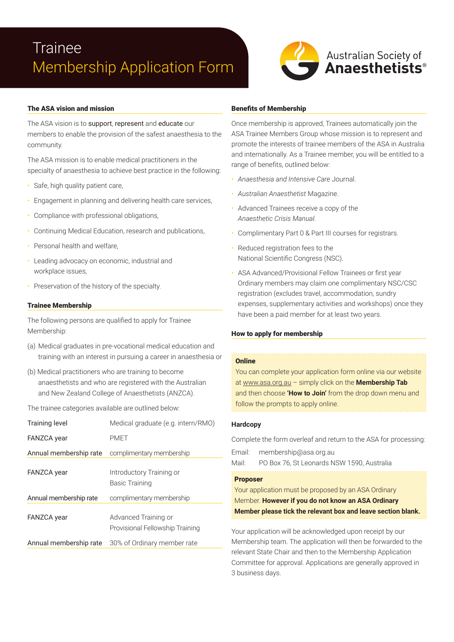# **Trainee** Membership Application Form



# The ASA vision and mission

The ASA vision is to support, represent and educate our members to enable the provision of the safest anaesthesia to the community.

The ASA mission is to enable medical practitioners in the specialty of anaesthesia to achieve best practice in the following:

- Safe, high quality patient care,
- Engagement in planning and delivering health care services,
- Compliance with professional obligations,
- Continuing Medical Education, research and publications,
- Personal health and welfare.
- Leading advocacy on economic, industrial and workplace issues,
- Preservation of the history of the specialty.

## Trainee Membership

The following persons are qualified to apply for Trainee Membership:

- (a) Medical graduates in pre-vocational medical education and training with an interest in pursuing a career in anaesthesia or
- (b) Medical practitioners who are training to become anaesthetists and who are registered with the Australian and New Zealand College of Anaesthetists (ANZCA).

The trainee categories available are outlined below:

| <b>Training level</b>  | Medical graduate (e.g. intern/RMO)                      |  |
|------------------------|---------------------------------------------------------|--|
| <b>FANZCA</b> year     | <b>PMFT</b>                                             |  |
| Annual membership rate | complimentary membership                                |  |
| <b>FANZCA</b> year     | Introductory Training or<br><b>Basic Training</b>       |  |
| Annual membership rate | complimentary membership                                |  |
| <b>FANZCA</b> year     | Advanced Training or<br>Provisional Fellowship Training |  |
| Annual membership rate | 30% of Ordinary member rate                             |  |

### Benefits of Membership

Once membership is approved, Trainees automatically join the ASA Trainee Members Group whose mission is to represent and promote the interests of trainee members of the ASA in Australia and internationally. As a Trainee member, you will be entitled to a range of benefits, outlined below:

- *Anaesthesia and Intensive Care* Journal.
- *Australian Anaesthetist* Magazine.
- Advanced Trainees receive a copy of the *Anaesthetic Crisis Manual.*
- Complimentary Part 0 & Part III courses for registrars.
- Reduced registration fees to the National Scientific Congress (NSC).
- ASA Advanced/Provisional Fellow Trainees or first year Ordinary members may claim one complimentary NSC/CSC registration (excludes travel, accommodation, sundry expenses, supplementary activities and workshops) once they have been a paid member for at least two years.

## How to apply for membership

#### **Online**

You can complete your application form online via our website at www.asa.org.au – simply click on the **Membership Tab** and then choose **'How to Join'** from the drop down menu and follow the prompts to apply online.

## **Hardcopy**

Complete the form overleaf and return to the ASA for processing:

Email: membership@asa.org.au

Mail: PO Box 76, St Leonards NSW 1590, Australia

# Proposer

Your application must be proposed by an ASA Ordinary Member. **However if you do not know an ASA Ordinary Member please tick the relevant box and leave section blank.**

Your application will be acknowledged upon receipt by our Membership team. The application will then be forwarded to the relevant State Chair and then to the Membership Application Committee for approval. Applications are generally approved in 3 business days.